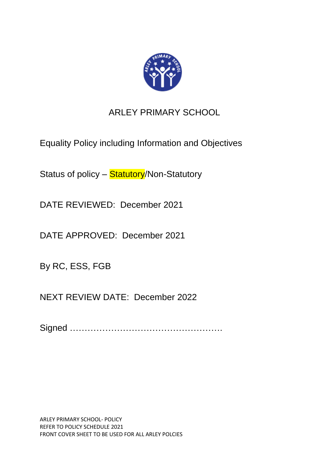

# ARLEY PRIMARY SCHOOL

Equality Policy including Information and Objectives

Status of policy - Statutory/Non-Statutory

DATE REVIEWED: December 2021

DATE APPROVED: December 2021

By RC, ESS, FGB

NEXT REVIEW DATE: December 2022

Signed …………………………………………….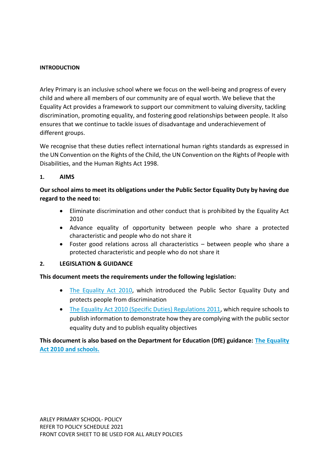#### **INTRODUCTION**

Arley Primary is an inclusive school where we focus on the well-being and progress of every child and where all members of our community are of equal worth. We believe that the Equality Act provides a framework to support our commitment to valuing diversity, tackling discrimination, promoting equality, and fostering good relationships between people. It also ensures that we continue to tackle issues of disadvantage and underachievement of different groups.

We recognise that these duties reflect international human rights standards as expressed in the UN Convention on the Rights of the Child, the UN Convention on the Rights of People with Disabilities, and the Human Rights Act 1998.

#### **1. AIMS**

# **Our school aims to meet its obligations under the Public Sector Equality Duty by having due regard to the need to:**

- Eliminate discrimination and other conduct that is prohibited by the Equality Act 2010
- Advance equality of opportunity between people who share a protected characteristic and people who do not share it
- Foster good relations across all characteristics between people who share a protected characteristic and people who do not share it

## **2. LEGISLATION & GUIDANCE**

## **This document meets the requirements under the following legislation:**

- [The Equality Act 2010,](http://www.legislation.gov.uk/ukpga/2010/15/contents) which introduced the Public Sector Equality Duty and protects people from discrimination
- [The Equality Act 2010 \(Specific Duties\) Regulations 2011,](http://www.legislation.gov.uk/uksi/2011/2260/contents/made) which require schools to publish information to demonstrate how they are complying with the public sector equality duty and to publish equality objectives

## **This document is also based on the Department for Education (DfE) guidance: [The Equality](https://www.gov.uk/government/uploads/system/uploads/attachment_data/file/315587/Equality_Act_Advice_Final.pdf)  [Act 2010 and schools.](https://www.gov.uk/government/uploads/system/uploads/attachment_data/file/315587/Equality_Act_Advice_Final.pdf)**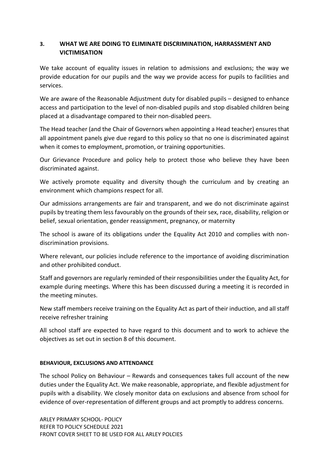## **3. WHAT WE ARE DOING TO ELIMINATE DISCRIMINATION, HARRASSMENT AND VICTIMISATION**

We take account of equality issues in relation to admissions and exclusions; the way we provide education for our pupils and the way we provide access for pupils to facilities and services.

We are aware of the Reasonable Adjustment duty for disabled pupils – designed to enhance access and participation to the level of non-disabled pupils and stop disabled children being placed at a disadvantage compared to their non-disabled peers.

The Head teacher (and the Chair of Governors when appointing a Head teacher) ensures that all appointment panels give due regard to this policy so that no one is discriminated against when it comes to employment, promotion, or training opportunities.

Our Grievance Procedure and policy help to protect those who believe they have been discriminated against.

We actively promote equality and diversity though the curriculum and by creating an environment which champions respect for all.

Our admissions arrangements are fair and transparent, and we do not discriminate against pupils by treating them less favourably on the grounds of their sex, race, disability, religion or belief, sexual orientation, gender reassignment, pregnancy, or maternity

The school is aware of its obligations under the Equality Act 2010 and complies with nondiscrimination provisions.

Where relevant, our policies include reference to the importance of avoiding discrimination and other prohibited conduct.

Staff and governors are regularly reminded of their responsibilities under the Equality Act, for example during meetings. Where this has been discussed during a meeting it is recorded in the meeting minutes.

New staff members receive training on the Equality Act as part of their induction, and all staff receive refresher training

All school staff are expected to have regard to this document and to work to achieve the objectives as set out in section 8 of this document.

#### **BEHAVIOUR, EXCLUSIONS AND ATTENDANCE**

The school Policy on Behaviour – Rewards and consequences takes full account of the new duties under the Equality Act. We make reasonable, appropriate, and flexible adjustment for pupils with a disability. We closely monitor data on exclusions and absence from school for evidence of over-representation of different groups and act promptly to address concerns.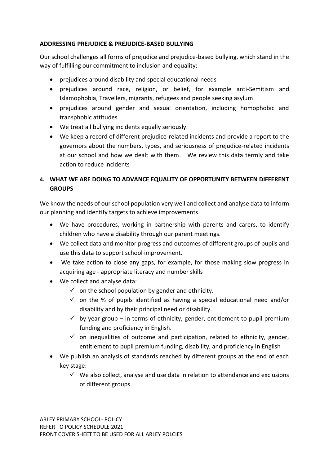## **ADDRESSING PREJUDICE & PREJUDICE-BASED BULLYING**

Our school challenges all forms of prejudice and prejudice-based bullying, which stand in the way of fulfilling our commitment to inclusion and equality:

- prejudices around disability and special educational needs
- prejudices around race, religion, or belief, for example anti-Semitism and Islamophobia, Travellers, migrants, refugees and people seeking asylum
- prejudices around gender and sexual orientation, including homophobic and transphobic attitudes
- We treat all bullying incidents equally seriously.
- We keep a record of different prejudice-related incidents and provide a report to the governors about the numbers, types, and seriousness of prejudice-related incidents at our school and how we dealt with them. We review this data termly and take action to reduce incidents

# **4. WHAT WE ARE DOING TO ADVANCE EQUALITY OF OPPORTUNITY BETWEEN DIFFERENT GROUPS**

We know the needs of our school population very well and collect and analyse data to inform our planning and identify targets to achieve improvements.

- We have procedures, working in partnership with parents and carers, to identify children who have a disability through our parent meetings.
- We collect data and monitor progress and outcomes of different groups of pupils and use this data to support school improvement.
- We take action to close any gaps, for example, for those making slow progress in acquiring age - appropriate literacy and number skills
- We collect and analyse data:
	- $\checkmark$  on the school population by gender and ethnicity.
	- $\checkmark$  on the % of pupils identified as having a special educational need and/or disability and by their principal need or disability.
	- $\checkmark$  by year group in terms of ethnicity, gender, entitlement to pupil premium funding and proficiency in English.
	- $\checkmark$  on inequalities of outcome and participation, related to ethnicity, gender, entitlement to pupil premium funding, disability, and proficiency in English
- We publish an analysis of standards reached by different groups at the end of each key stage:
	- $\checkmark$  We also collect, analyse and use data in relation to attendance and exclusions of different groups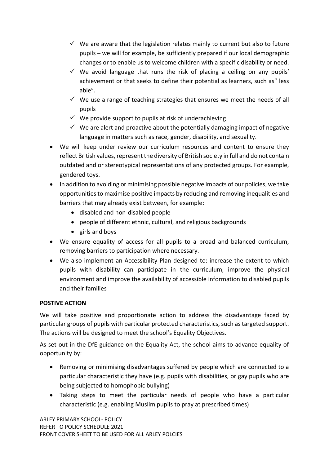- $\checkmark$  We are aware that the legislation relates mainly to current but also to future pupils – we will for example, be sufficiently prepared if our local demographic changes or to enable us to welcome children with a specific disability or need.
- $\checkmark$  We avoid language that runs the risk of placing a ceiling on any pupils' achievement or that seeks to define their potential as learners, such as" less able".
- $\checkmark$  We use a range of teaching strategies that ensures we meet the needs of all pupils
- $\checkmark$  We provide support to pupils at risk of underachieving
- $\checkmark$  We are alert and proactive about the potentially damaging impact of negative language in matters such as race, gender, disability, and sexuality.
- We will keep under review our curriculum resources and content to ensure they reflect British values, represent the diversity of British society in full and do not contain outdated and or stereotypical representations of any protected groups. For example, gendered toys.
- In addition to avoiding or minimising possible negative impacts of our policies, we take opportunities to maximise positive impacts by reducing and removing inequalities and barriers that may already exist between, for example:
	- disabled and non-disabled people
	- people of different ethnic, cultural, and religious backgrounds
	- girls and boys
- We ensure equality of access for all pupils to a broad and balanced curriculum, removing barriers to participation where necessary.
- We also implement an Accessibility Plan designed to: increase the extent to which pupils with disability can participate in the curriculum; improve the physical environment and improve the availability of accessible information to disabled pupils and their families

# **POSTIVE ACTION**

We will take positive and proportionate action to address the disadvantage faced by particular groups of pupils with particular protected characteristics, such as targeted support. The actions will be designed to meet the school's Equality Objectives.

As set out in the DfE guidance on the Equality Act, the school aims to advance equality of opportunity by:

- Removing or minimising disadvantages suffered by people which are connected to a particular characteristic they have (e.g. pupils with disabilities, or gay pupils who are being subjected to homophobic bullying)
- Taking steps to meet the particular needs of people who have a particular characteristic (e.g. enabling Muslim pupils to pray at prescribed times)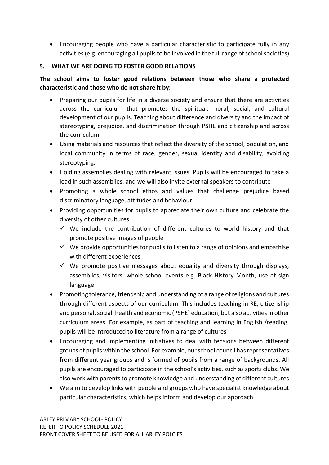Encouraging people who have a particular characteristic to participate fully in any activities (e.g. encouraging all pupils to be involved in the full range of school societies)

## **5. WHAT WE ARE DOING TO FOSTER GOOD RELATIONS**

**The school aims to foster good relations between those who share a protected characteristic and those who do not share it by:**

- Preparing our pupils for life in a diverse society and ensure that there are activities across the curriculum that promotes the spiritual, moral, social, and cultural development of our pupils. Teaching about difference and diversity and the impact of stereotyping, prejudice, and discrimination through PSHE and citizenship and across the curriculum.
- Using materials and resources that reflect the diversity of the school, population, and local community in terms of race, gender, sexual identity and disability, avoiding stereotyping.
- Holding assemblies dealing with relevant issues. Pupils will be encouraged to take a lead in such assemblies, and we will also invite external speakers to contribute
- Promoting a whole school ethos and values that challenge prejudice based discriminatory language, attitudes and behaviour.
- Providing opportunities for pupils to appreciate their own culture and celebrate the diversity of other cultures.
	- $\checkmark$  We include the contribution of different cultures to world history and that promote positive images of people
	- $\checkmark$  We provide opportunities for pupils to listen to a range of opinions and empathise with different experiences
	- $\checkmark$  We promote positive messages about equality and diversity through displays, assemblies, visitors, whole school events e.g. Black History Month, use of sign language
- Promoting tolerance, friendship and understanding of a range of religions and cultures through different aspects of our curriculum. This includes teaching in RE, citizenship and personal, social, health and economic (PSHE) education, but also activities in other curriculum areas. For example, as part of teaching and learning in English /reading, pupils will be introduced to literature from a range of cultures
- Encouraging and implementing initiatives to deal with tensions between different groups of pupils within the school. For example, our school council has representatives from different year groups and is formed of pupils from a range of backgrounds. All pupils are encouraged to participate in the school's activities, such as sports clubs. We also work with parents to promote knowledge and understanding of different cultures
- We aim to develop links with people and groups who have specialist knowledge about particular characteristics, which helps inform and develop our approach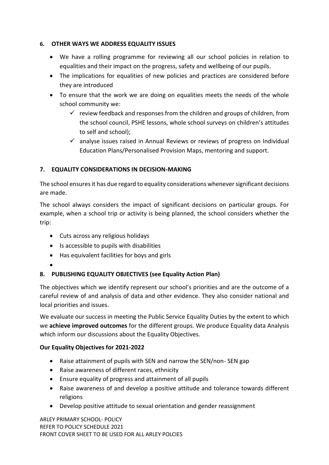## **6. OTHER WAYS WE ADDRESS EQUALITY ISSUES**

- We have a rolling programme for reviewing all our school policies in relation to equalities and their impact on the progress, safety and wellbeing of our pupils.
- The implications for equalities of new policies and practices are considered before they are introduced
- To ensure that the work we are doing on equalities meets the needs of the whole school community we:
	- $\checkmark$  review feedback and responses from the children and groups of children, from the school council, PSHE lessons, whole school surveys on children's attitudes to self and school);
	- $\checkmark$  analyse issues raised in Annual Reviews or reviews of progress on Individual Education Plans/Personalised Provision Maps, mentoring and support.

# **7. EQUALITY CONSIDERATIONS IN DECISION-MAKING**

The school ensures it has due regard to equality considerations whenever significant decisions are made.

The school always considers the impact of significant decisions on particular groups. For example, when a school trip or activity is being planned, the school considers whether the trip:

- Cuts across any religious holidays
- Is accessible to pupils with disabilities
- Has equivalent facilities for boys and girls
- $\bullet$

# **8. PUBLISHING EQUALITY OBJECTIVES (see Equality Action Plan)**

The objectives which we identify represent our school's priorities and are the outcome of a careful review of and analysis of data and other evidence. They also consider national and local priorities and issues.

We evaluate our success in meeting the Public Service Equality Duties by the extent to which we **achieve improved outcomes** for the different groups. We produce Equality data Analysis which inform our discussions about the Equality Objectives.

## **Our Equality Objectives for 2021-2022**

- Raise attainment of pupils with SEN and narrow the SEN/non- SEN gap
- Raise awareness of different races, ethnicity
- Ensure equality of progress and attainment of all pupils
- Raise awareness of and develop a positive attitude and tolerance towards different religions
- Develop positive attitude to sexual orientation and gender reassignment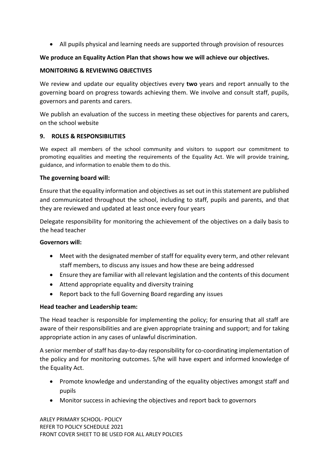All pupils physical and learning needs are supported through provision of resources

### **We produce an Equality Action Plan that shows how we will achieve our objectives.**

#### **MONITORING & REVIEWING OBJECTIVES**

We review and update our equality objectives every **two** years and report annually to the governing board on progress towards achieving them. We involve and consult staff, pupils, governors and parents and carers.

We publish an evaluation of the success in meeting these objectives for parents and carers, on the school website

#### **9. ROLES & RESPONSIBILITIES**

We expect all members of the school community and visitors to support our commitment to promoting equalities and meeting the requirements of the Equality Act. We will provide training, guidance, and information to enable them to do this.

#### **The governing board will:**

Ensure that the equality information and objectives as set out in this statement are published and communicated throughout the school, including to staff, pupils and parents, and that they are reviewed and updated at least once every four years

Delegate responsibility for monitoring the achievement of the objectives on a daily basis to the head teacher

#### **Governors will:**

- Meet with the designated member of staff for equality every term, and other relevant staff members, to discuss any issues and how these are being addressed
- Ensure they are familiar with all relevant legislation and the contents of this document
- Attend appropriate equality and diversity training
- Report back to the full Governing Board regarding any issues

## **Head teacher and Leadership team:**

The Head teacher is responsible for implementing the policy; for ensuring that all staff are aware of their responsibilities and are given appropriate training and support; and for taking appropriate action in any cases of unlawful discrimination.

A senior member of staff has day-to-day responsibility for co-coordinating implementation of the policy and for monitoring outcomes. S/he will have expert and informed knowledge of the Equality Act.

- Promote knowledge and understanding of the equality objectives amongst staff and pupils
- Monitor success in achieving the objectives and report back to governors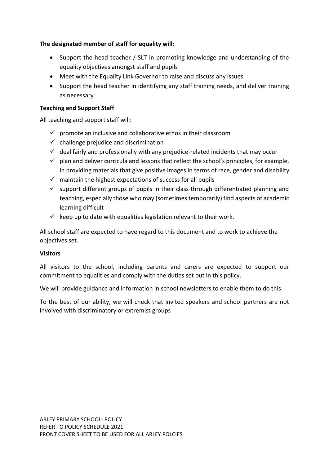## **The designated member of staff for equality will:**

- Support the head teacher / SLT in promoting knowledge and understanding of the equality objectives amongst staff and pupils
- Meet with the Equality Link Governor to raise and discuss any issues
- Support the head teacher in identifying any staff training needs, and deliver training as necessary

## **Teaching and Support Staff**

All teaching and support staff will:

- $\checkmark$  promote an inclusive and collaborative ethos in their classroom
- $\checkmark$  challenge prejudice and discrimination
- $\checkmark$  deal fairly and professionally with any prejudice-related incidents that may occur
- $\checkmark$  plan and deliver curricula and lessons that reflect the school's principles, for example, in providing materials that give positive images in terms of race, gender and disability
- $\checkmark$  maintain the highest expectations of success for all pupils
- $\checkmark$  support different groups of pupils in their class through differentiated planning and teaching, especially those who may (sometimes temporarily) find aspects of academic learning difficult
- $\checkmark$  keep up to date with equalities legislation relevant to their work.

All school staff are expected to have regard to this document and to work to achieve the objectives set.

## **Visitors**

All visitors to the school, including parents and carers are expected to support our commitment to equalities and comply with the duties set out in this policy.

We will provide guidance and information in school newsletters to enable them to do this.

To the best of our ability, we will check that invited speakers and school partners are not involved with discriminatory or extremist groups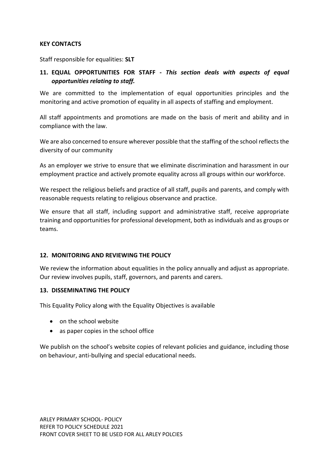#### **KEY CONTACTS**

Staff responsible for equalities: **SLT**

# **11. EQUAL OPPORTUNITIES FOR STAFF -** *This section deals with aspects of equal opportunities relating to staff.*

We are committed to the implementation of equal opportunities principles and the monitoring and active promotion of equality in all aspects of staffing and employment.

All staff appointments and promotions are made on the basis of merit and ability and in compliance with the law.

We are also concerned to ensure wherever possible that the staffing of the school reflects the diversity of our community

As an employer we strive to ensure that we eliminate discrimination and harassment in our employment practice and actively promote equality across all groups within our workforce.

We respect the religious beliefs and practice of all staff, pupils and parents, and comply with reasonable requests relating to religious observance and practice.

We ensure that all staff, including support and administrative staff, receive appropriate training and opportunities for professional development, both as individuals and as groups or teams.

## **12. MONITORING AND REVIEWING THE POLICY**

We review the information about equalities in the policy annually and adjust as appropriate. Our review involves pupils, staff, governors, and parents and carers.

#### **13. DISSEMINATING THE POLICY**

This Equality Policy along with the Equality Objectives is available

- on the school website
- as paper copies in the school office

We publish on the school's website copies of relevant policies and guidance, including those on behaviour, anti-bullying and special educational needs.